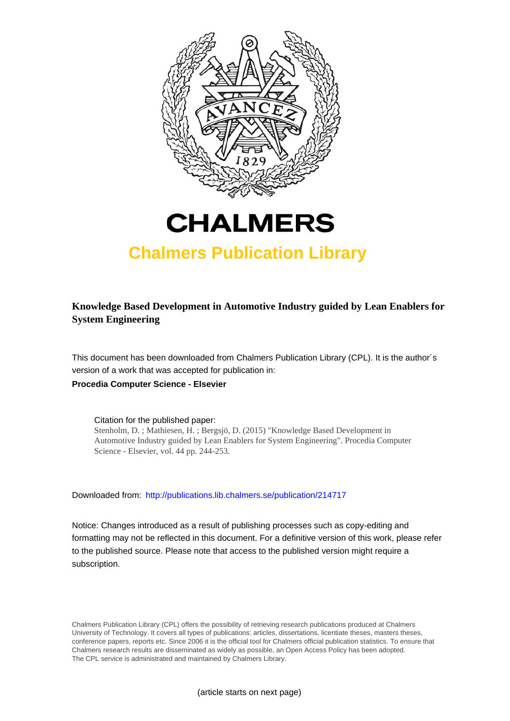



# **Chalmers Publication Library**

**Knowledge Based Development in Automotive Industry guided by Lean Enablers for System Engineering**

This document has been downloaded from Chalmers Publication Library (CPL). It is the author´s version of a work that was accepted for publication in:

**Procedia Computer Science - Elsevier**

Citation for the published paper: Stenholm, D. ; Mathiesen, H. ; Bergsjö, D. (2015) "Knowledge Based Development in Automotive Industry guided by Lean Enablers for System Engineering". Procedia Computer Science - Elsevier, vol. 44 pp. 244-253.

Downloaded from: <http://publications.lib.chalmers.se/publication/214717>

Notice: Changes introduced as a result of publishing processes such as copy-editing and formatting may not be reflected in this document. For a definitive version of this work, please refer to the published source. Please note that access to the published version might require a subscription.

Chalmers Publication Library (CPL) offers the possibility of retrieving research publications produced at Chalmers University of Technology. It covers all types of publications: articles, dissertations, licentiate theses, masters theses, conference papers, reports etc. Since 2006 it is the official tool for Chalmers official publication statistics. To ensure that Chalmers research results are disseminated as widely as possible, an Open Access Policy has been adopted. The CPL service is administrated and maintained by Chalmers Library.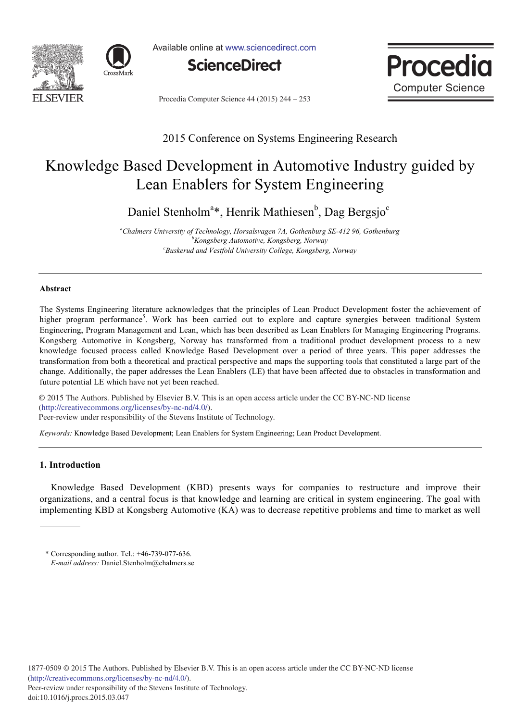



Available online at www.sciencedirect.com





Procedia Computer Science 44 (2015) 244 - 253

## 2015 Conference on Systems Engineering Research

## Knowledge Based Development in Automotive Industry guided by Lean Enablers for System Engineering

Daniel Stenholm<sup>a\*</sup>, Henrik Mathiesen<sup>b</sup>, Dag Bergsjo<sup>c</sup>

*a Chalmers University of Technology, Horsalsvagen 7A, Gothenburg SE-412 96, Gothenburg b Kongsberg Automotive, Kongsberg, Norway c Buskerud and Vestfold University College, Kongsberg, Norway* 

## **Abstract**

The Systems Engineering literature acknowledges that the principles of Lean Product Development foster the achievement of higher program performance<sup>5</sup>. Work has been carried out to explore and capture synergies between traditional System Engineering, Program Management and Lean, which has been described as Lean Enablers for Managing Engineering Programs. Kongsberg Automotive in Kongsberg, Norway has transformed from a traditional product development process to a new knowledge focused process called Knowledge Based Development over a period of three years. This paper addresses the transformation from both a theoretical and practical perspective and maps the supporting tools that constituted a large part of the change. Additionally, the paper addresses the Lean Enablers (LE) that have been affected due to obstacles in transformation and future potential LE which have not yet been reached.

© 2015 The Authors. Published by Elsevier B.V. (http://creativecommons.org/licenses/by-nc-nd/4.0/). metric commonsity recluses by the new title. © 2015 The Authors. Published by Elsevier B.V. This is an open access article under the CC BY-NC-ND license

*Keywords:* Knowledge Based Development; Lean Enablers for System Engineering; Lean Product Development.

## **1. Introduction**

Knowledge Based Development (KBD) presents ways for companies to restructure and improve their organizations, and a central focus is that knowledge and learning are critical in system engineering. The goal with implementing KBD at Kongsberg Automotive (KA) was to decrease repetitive problems and time to market as well

<sup>\*</sup> Corresponding author. Tel.: +46-739-077-636. *E-mail address:* Daniel.Stenholm@chalmers.se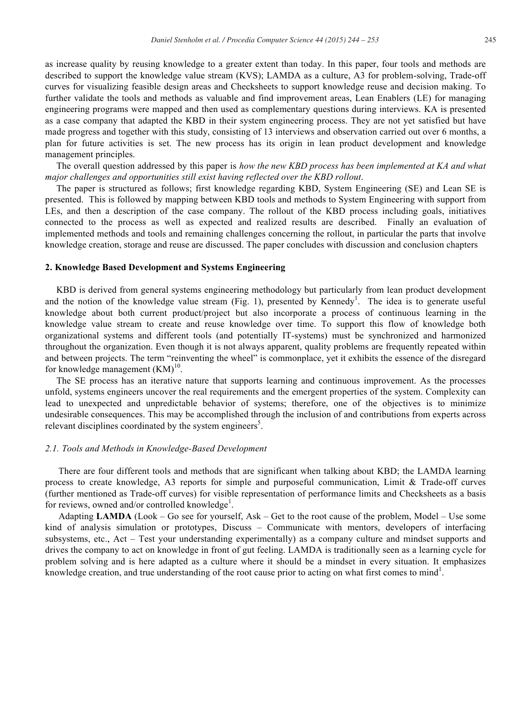as increase quality by reusing knowledge to a greater extent than today. In this paper, four tools and methods are described to support the knowledge value stream (KVS); LAMDA as a culture, A3 for problem-solving, Trade-off curves for visualizing feasible design areas and Checksheets to support knowledge reuse and decision making. To further validate the tools and methods as valuable and find improvement areas, Lean Enablers (LE) for managing engineering programs were mapped and then used as complementary questions during interviews. KA is presented as a case company that adapted the KBD in their system engineering process. They are not yet satisfied but have made progress and together with this study, consisting of 13 interviews and observation carried out over 6 months, a plan for future activities is set. The new process has its origin in lean product development and knowledge management principles.

The overall question addressed by this paper is *how the new KBD process has been implemented at KA and what major challenges and opportunities still exist having reflected over the KBD rollout*.

The paper is structured as follows; first knowledge regarding KBD, System Engineering (SE) and Lean SE is presented. This is followed by mapping between KBD tools and methods to System Engineering with support from LEs, and then a description of the case company. The rollout of the KBD process including goals, initiatives connected to the process as well as expected and realized results are described. Finally an evaluation of implemented methods and tools and remaining challenges concerning the rollout, in particular the parts that involve knowledge creation, storage and reuse are discussed. The paper concludes with discussion and conclusion chapters

## **2. Knowledge Based Development and Systems Engineering**

KBD is derived from general systems engineering methodology but particularly from lean product development and the notion of the knowledge value stream (Fig. 1), presented by Kennedy<sup>1</sup>. The idea is to generate useful knowledge about both current product/project but also incorporate a process of continuous learning in the knowledge value stream to create and reuse knowledge over time. To support this flow of knowledge both organizational systems and different tools (and potentially IT-systems) must be synchronized and harmonized throughout the organization. Even though it is not always apparent, quality problems are frequently repeated within and between projects. The term "reinventing the wheel" is commonplace, yet it exhibits the essence of the disregard for knowledge management  $(KM)^{10}$ .

The SE process has an iterative nature that supports learning and continuous improvement. As the processes unfold, systems engineers uncover the real requirements and the emergent properties of the system. Complexity can lead to unexpected and unpredictable behavior of systems; therefore, one of the objectives is to minimize undesirable consequences. This may be accomplished through the inclusion of and contributions from experts across relevant disciplines coordinated by the system engineers<sup>5</sup>.

#### *2.1. Tools and Methods in Knowledge-Based Development*

There are four different tools and methods that are significant when talking about KBD; the LAMDA learning process to create knowledge, A3 reports for simple and purposeful communication, Limit & Trade-off curves (further mentioned as Trade-off curves) for visible representation of performance limits and Checksheets as a basis for reviews, owned and/or controlled knowledge<sup>1</sup>.

Adapting **LAMDA** (Look – Go see for yourself, Ask – Get to the root cause of the problem, Model – Use some kind of analysis simulation or prototypes, Discuss – Communicate with mentors, developers of interfacing subsystems, etc., Act – Test your understanding experimentally) as a company culture and mindset supports and drives the company to act on knowledge in front of gut feeling. LAMDA is traditionally seen as a learning cycle for problem solving and is here adapted as a culture where it should be a mindset in every situation. It emphasizes knowledge creation, and true understanding of the root cause prior to acting on what first comes to mind<sup>1</sup>.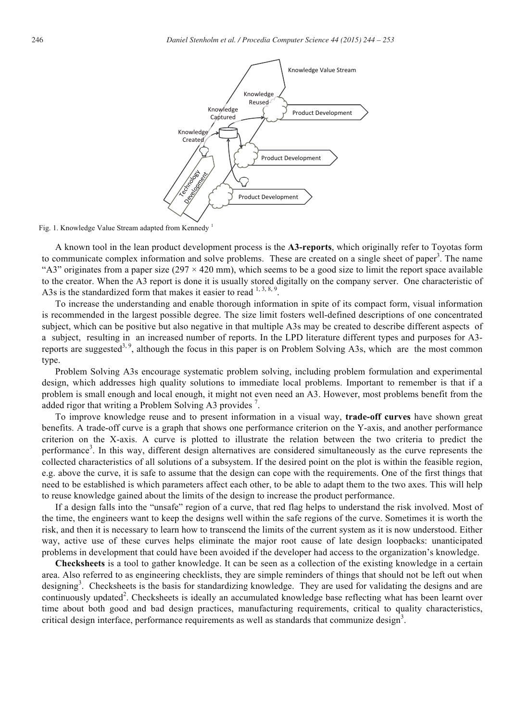

Fig. 1. Knowledge Value Stream adapted from Kennedy <sup>1</sup>

A known tool in the lean product development process is the **A3-reports**, which originally refer to Toyotas form to communicate complex information and solve problems. These are created on a single sheet of paper<sup>3</sup>. The name "A3" originates from a paper size  $(297 \times 420 \text{ mm})$ , which seems to be a good size to limit the report space available to the creator. When the A3 report is done it is usually stored digitally on the company server. One characteristic of A3s is the standardized form that makes it easier to read  $^{1, 3, 8, 9}$ .

To increase the understanding and enable thorough information in spite of its compact form, visual information is recommended in the largest possible degree. The size limit fosters well-defined descriptions of one concentrated subject, which can be positive but also negative in that multiple A3s may be created to describe different aspects of a subject, resulting in an increased number of reports. In the LPD literature different types and purposes for A3 reports are suggested<sup>3, 9</sup>, although the focus in this paper is on Problem Solving A3s, which are the most common type.

Problem Solving A3s encourage systematic problem solving, including problem formulation and experimental design, which addresses high quality solutions to immediate local problems. Important to remember is that if a problem is small enough and local enough, it might not even need an A3. However, most problems benefit from the added rigor that writing a Problem Solving A3 provides  $^7$ .

To improve knowledge reuse and to present information in a visual way, **trade-off curves** have shown great benefits. A trade-off curve is a graph that shows one performance criterion on the Y-axis, and another performance criterion on the X-axis. A curve is plotted to illustrate the relation between the two criteria to predict the performance<sup>3</sup>. In this way, different design alternatives are considered simultaneously as the curve represents the collected characteristics of all solutions of a subsystem. If the desired point on the plot is within the feasible region, e.g. above the curve, it is safe to assume that the design can cope with the requirements. One of the first things that need to be established is which parameters affect each other, to be able to adapt them to the two axes. This will help to reuse knowledge gained about the limits of the design to increase the product performance.

If a design falls into the "unsafe" region of a curve, that red flag helps to understand the risk involved. Most of the time, the engineers want to keep the designs well within the safe regions of the curve. Sometimes it is worth the risk, and then it is necessary to learn how to transcend the limits of the current system as it is now understood. Either way, active use of these curves helps eliminate the major root cause of late design loopbacks: unanticipated problems in development that could have been avoided if the developer had access to the organization's knowledge.

**Checksheets** is a tool to gather knowledge. It can be seen as a collection of the existing knowledge in a certain area. Also referred to as engineering checklists, they are simple reminders of things that should not be left out when designing<sup>3</sup>. Checksheets is the basis for standardizing knowledge. They are used for validating the designs and are continuously updated<sup>2</sup>. Checksheets is ideally an accumulated knowledge base reflecting what has been learnt over time about both good and bad design practices, manufacturing requirements, critical to quality characteristics, critical design interface, performance requirements as well as standards that communize design<sup>3</sup>.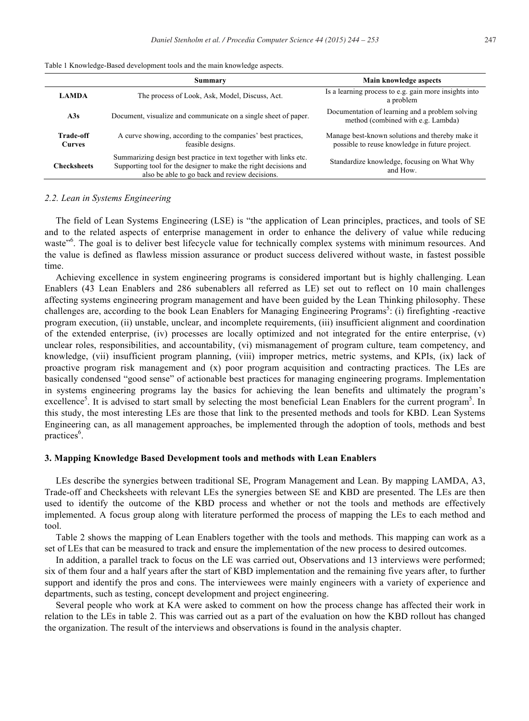| Summary                    |                                                                                                                                                                                        | Main knowledge aspects                                                                            |
|----------------------------|----------------------------------------------------------------------------------------------------------------------------------------------------------------------------------------|---------------------------------------------------------------------------------------------------|
| <b>LAMDA</b>               | The process of Look, Ask, Model, Discuss, Act.                                                                                                                                         | Is a learning process to e.g. gain more insights into<br>a problem                                |
| A3s                        | Document, visualize and communicate on a single sheet of paper.                                                                                                                        | Documentation of learning and a problem solving<br>method (combined with e.g. Lambda)             |
| Trade-off<br><b>Curves</b> | A curve showing, according to the companies' best practices,<br>feasible designs.                                                                                                      | Manage best-known solutions and thereby make it<br>possible to reuse knowledge in future project. |
| <b>Checksheets</b>         | Summarizing design best practice in text together with links etc.<br>Supporting tool for the designer to make the right decisions and<br>also be able to go back and review decisions. | Standardize knowledge, focusing on What Why<br>and How.                                           |

Table 1 Knowledge-Based development tools and the main knowledge aspects.

#### *2.2. Lean in Systems Engineering*

The field of Lean Systems Engineering (LSE) is "the application of Lean principles, practices, and tools of SE and to the related aspects of enterprise management in order to enhance the delivery of value while reducing waste<sup>"6</sup>. The goal is to deliver best lifecycle value for technically complex systems with minimum resources. And the value is defined as flawless mission assurance or product success delivered without waste, in fastest possible time.

Achieving excellence in system engineering programs is considered important but is highly challenging. Lean Enablers (43 Lean Enablers and 286 subenablers all referred as LE) set out to reflect on 10 main challenges affecting systems engineering program management and have been guided by the Lean Thinking philosophy. These challenges are, according to the book Lean Enablers for Managing Engineering Programs<sup>5</sup>: (i) firefighting -reactive program execution, (ii) unstable, unclear, and incomplete requirements, (iii) insufficient alignment and coordination of the extended enterprise, (iv) processes are locally optimized and not integrated for the entire enterprise, (v) unclear roles, responsibilities, and accountability, (vi) mismanagement of program culture, team competency, and knowledge, (vii) insufficient program planning, (viii) improper metrics, metric systems, and KPIs, (ix) lack of proactive program risk management and (x) poor program acquisition and contracting practices. The LEs are basically condensed "good sense" of actionable best practices for managing engineering programs. Implementation in systems engineering programs lay the basics for achieving the lean benefits and ultimately the program's excellence<sup>5</sup>. It is advised to start small by selecting the most beneficial Lean Enablers for the current program<sup>5</sup>. In this study, the most interesting LEs are those that link to the presented methods and tools for KBD. Lean Systems Engineering can, as all management approaches, be implemented through the adoption of tools, methods and best practices<sup>6</sup>.

#### **3. Mapping Knowledge Based Development tools and methods with Lean Enablers**

LEs describe the synergies between traditional SE, Program Management and Lean. By mapping LAMDA, A3, Trade-off and Checksheets with relevant LEs the synergies between SE and KBD are presented. The LEs are then used to identify the outcome of the KBD process and whether or not the tools and methods are effectively implemented. A focus group along with literature performed the process of mapping the LEs to each method and tool.

Table 2 shows the mapping of Lean Enablers together with the tools and methods. This mapping can work as a set of LEs that can be measured to track and ensure the implementation of the new process to desired outcomes.

In addition, a parallel track to focus on the LE was carried out, Observations and 13 interviews were performed; six of them four and a half years after the start of KBD implementation and the remaining five years after, to further support and identify the pros and cons. The interviewees were mainly engineers with a variety of experience and departments, such as testing, concept development and project engineering.

Several people who work at KA were asked to comment on how the process change has affected their work in relation to the LEs in table 2. This was carried out as a part of the evaluation on how the KBD rollout has changed the organization. The result of the interviews and observations is found in the analysis chapter.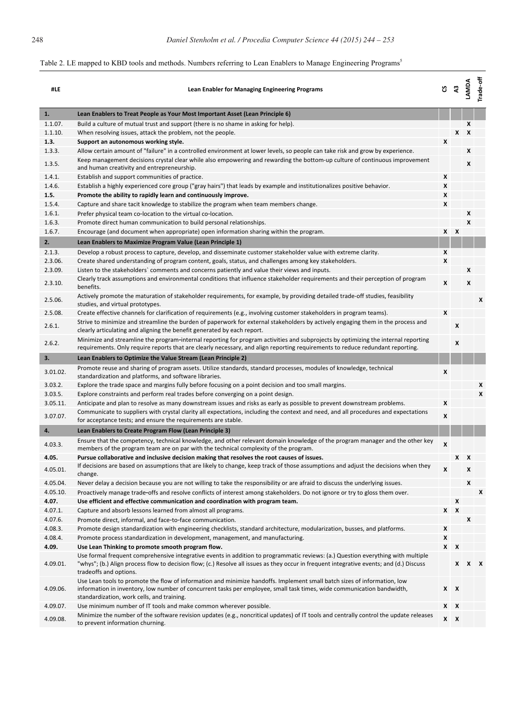## Table 2. LE mapped to KBD tools and methods. Numbers referring to Lean Enablers to Manage Engineering Programs<sup>5</sup>

| #LE      | <b>Lean Enabler for Managing Engineering Programs</b>                                                                                                                                                                                                                                                  |   | 5          | LAMDA            | Trade-off  |
|----------|--------------------------------------------------------------------------------------------------------------------------------------------------------------------------------------------------------------------------------------------------------------------------------------------------------|---|------------|------------------|------------|
| 1.       | Lean Enablers to Treat People as Your Most Important Asset (Lean Principle 6)                                                                                                                                                                                                                          |   |            |                  |            |
| 1.1.07.  | Build a culture of mutual trust and support (there is no shame in asking for help).                                                                                                                                                                                                                    |   |            | X                |            |
| 1.1.10.  | When resolving issues, attack the problem, not the people.                                                                                                                                                                                                                                             |   |            | $x \times$       |            |
| 1.3.     | Support an autonomous working style.                                                                                                                                                                                                                                                                   | X |            |                  |            |
| 1.3.3.   | Allow certain amount of "failure" in a controlled environment at lower levels, so people can take risk and grow by experience.                                                                                                                                                                         |   |            | x                |            |
| 1.3.5.   | Keep management decisions crystal clear while also empowering and rewarding the bottom-up culture of continuous improvement<br>and human creativity and entrepreneurship.                                                                                                                              |   |            | x                |            |
| 1.4.1.   | Establish and support communities of practice.                                                                                                                                                                                                                                                         | X |            |                  |            |
| 1.4.6.   | Establish a highly experienced core group ("gray hairs") that leads by example and institutionalizes positive behavior.                                                                                                                                                                                | X |            |                  |            |
| 1.5.     | Promote the ability to rapidly learn and continuously improve.                                                                                                                                                                                                                                         | x |            |                  |            |
| 1.5.4.   | Capture and share tacit knowledge to stabilize the program when team members change.                                                                                                                                                                                                                   | x |            |                  |            |
| 1.6.1.   | Prefer physical team co-location to the virtual co-location.                                                                                                                                                                                                                                           |   |            | x                |            |
| 1.6.3.   | Promote direct human communication to build personal relationships.                                                                                                                                                                                                                                    |   |            | X                |            |
| 1.6.7.   | Encourage (and document when appropriate) open information sharing within the program.                                                                                                                                                                                                                 |   | $x \times$ |                  |            |
| 2.       | Lean Enablers to Maximize Program Value (Lean Principle 1)                                                                                                                                                                                                                                             |   |            |                  |            |
| 2.1.3.   | Develop a robust process to capture, develop, and disseminate customer stakeholder value with extreme clarity.                                                                                                                                                                                         | x |            |                  |            |
| 2.3.06.  | Create shared understanding of program content, goals, status, and challenges among key stakeholders.                                                                                                                                                                                                  | x |            |                  |            |
| 2.3.09.  | Listen to the stakeholders' comments and concerns patiently and value their views and inputs.                                                                                                                                                                                                          |   |            | X                |            |
| 2.3.10.  | Clearly track assumptions and environmental conditions that influence stakeholder requirements and their perception of program<br>benefits.                                                                                                                                                            | X |            | X                |            |
| 2.5.06.  | Actively promote the maturation of stakeholder requirements, for example, by providing detailed trade-off studies, feasibility<br>studies, and virtual prototypes.                                                                                                                                     |   |            |                  | X          |
| 2.5.08.  | Create effective channels for clarification of requirements (e.g., involving customer stakeholders in program teams).                                                                                                                                                                                  | X |            |                  |            |
| 2.6.1.   | Strive to minimize and streamline the burden of paperwork for external stakeholders by actively engaging them in the process and<br>clearly articulating and aligning the benefit generated by each report.                                                                                            |   | X          |                  |            |
| 2.6.2.   | Minimize and streamline the program-internal reporting for program activities and subprojects by optimizing the internal reporting<br>requirements. Only require reports that are clearly necessary, and align reporting requirements to reduce redundant reporting.                                   |   | X          |                  |            |
| 3.       | Lean Enablers to Optimize the Value Stream (Lean Principle 2)                                                                                                                                                                                                                                          |   |            |                  |            |
|          | Promote reuse and sharing of program assets. Utilize standards, standard processes, modules of knowledge, technical                                                                                                                                                                                    |   |            |                  |            |
| 3.01.02. |                                                                                                                                                                                                                                                                                                        | X |            |                  |            |
| 3.03.2.  | standardization and platforms, and software libraries.<br>Explore the trade space and margins fully before focusing on a point decision and too small margins.                                                                                                                                         |   |            |                  | X          |
| 3.03.5.  | Explore constraints and perform real trades before converging on a point design.                                                                                                                                                                                                                       |   |            |                  | X          |
| 3.05.11. | Anticipate and plan to resolve as many downstream issues and risks as early as possible to prevent downstream problems.                                                                                                                                                                                | X |            |                  |            |
| 3.07.07. | Communicate to suppliers with crystal clarity all expectations, including the context and need, and all procedures and expectations<br>for acceptance tests; and ensure the requirements are stable.                                                                                                   | x |            |                  |            |
| 4.       |                                                                                                                                                                                                                                                                                                        |   |            |                  |            |
| 4.03.3.  | Lean Enablers to Create Program Flow (Lean Principle 3)<br>Ensure that the competency, technical knowledge, and other relevant domain knowledge of the program manager and the other key<br>members of the program team are on par with the technical complexity of the program.                       | X |            |                  |            |
| 4.05.    | Pursue collaborative and inclusive decision making that resolves the root causes of issues.                                                                                                                                                                                                            |   | x          | $\boldsymbol{x}$ |            |
| 4.05.01. | If decisions are based on assumptions that are likely to change, keep track of those assumptions and adjust the decisions when they<br>change.                                                                                                                                                         | X |            | X                |            |
| 4.05.04. | Never delay a decision because you are not willing to take the responsibility or are afraid to discuss the underlying issues.                                                                                                                                                                          |   |            | X                |            |
| 4.05.10. | Proactively manage trade-offs and resolve conflicts of interest among stakeholders. Do not ignore or try to gloss them over.                                                                                                                                                                           |   |            |                  | X          |
| 4.07.    | Use efficient and effective communication and coordination with program team.                                                                                                                                                                                                                          |   | X          |                  |            |
| 4.07.1.  | Capture and absorb lessons learned from almost all programs.                                                                                                                                                                                                                                           |   | x x        |                  |            |
| 4.07.6.  | Promote direct, informal, and face-to-face communication.                                                                                                                                                                                                                                              |   |            | X                |            |
| 4.08.3.  | Promote design standardization with engineering checklists, standard architecture, modularization, busses, and platforms.                                                                                                                                                                              | X |            |                  |            |
| 4.08.4.  | Promote process standardization in development, management, and manufacturing.                                                                                                                                                                                                                         | x |            |                  |            |
| 4.09.    | Use Lean Thinking to promote smooth program flow.                                                                                                                                                                                                                                                      |   | $x \times$ |                  |            |
| 4.09.01. | Use formal frequent comprehensive integrative events in addition to programmatic reviews: (a.) Question everything with multiple<br>"whys"; (b.) Align process flow to decision flow; (c.) Resolve all issues as they occur in frequent integrative events; and (d.) Discuss<br>tradeoffs and options. |   | X          |                  | $x \times$ |
| 4.09.06. | Use Lean tools to promote the flow of information and minimize handoffs. Implement small batch sizes of information, low<br>information in inventory, low number of concurrent tasks per employee, small task times, wide communication bandwidth,<br>standardization, work cells, and training.       |   | $x \times$ |                  |            |
| 4.09.07. | Use minimum number of IT tools and make common wherever possible.<br>Minimize the number of the software revision updates (e.g., noncritical updates) of IT tools and centrally control the update releases                                                                                            |   | x x        |                  |            |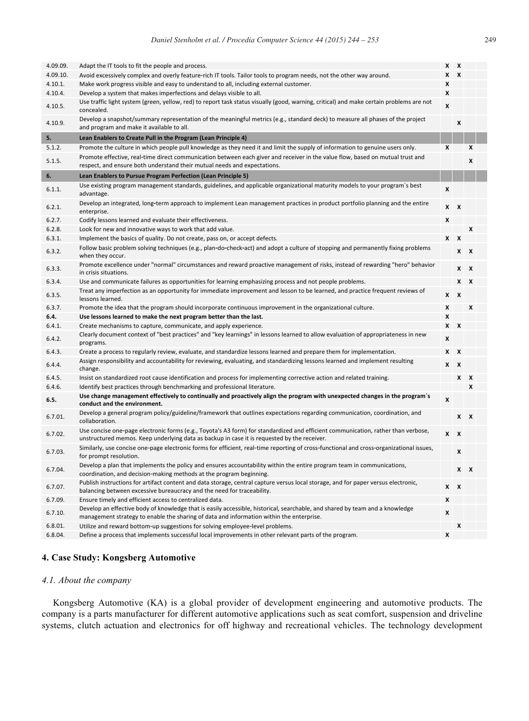| 4.09.09. | Adapt the IT tools to fit the people and process.                                                                                                                                                                                |                  | $x \times$       |                           |  |
|----------|----------------------------------------------------------------------------------------------------------------------------------------------------------------------------------------------------------------------------------|------------------|------------------|---------------------------|--|
| 4.09.10. | Avoid excessively complex and overly feature-rich IT tools. Tailor tools to program needs, not the other way around.                                                                                                             | x                | $\mathbf{x}$     |                           |  |
| 4.10.1.  | Make work progress visible and easy to understand to all, including external customer.                                                                                                                                           | X                |                  |                           |  |
| 4.10.4.  | Develop a system that makes imperfections and delays visible to all.                                                                                                                                                             | X                |                  |                           |  |
| 4.10.5.  | Use traffic light system (green, yellow, red) to report task status visually (good, warning, critical) and make certain problems are not<br>concealed.                                                                           | X                |                  |                           |  |
| 4.10.9.  | Develop a snapshot/summary representation of the meaningful metrics (e.g., standard deck) to measure all phases of the project<br>and program and make it available to all.                                                      |                  | X                |                           |  |
| 5.       | Lean Enablers to Create Pull in the Program (Lean Principle 4)                                                                                                                                                                   |                  |                  |                           |  |
| 5.1.2.   | Promote the culture in which people pull knowledge as they need it and limit the supply of information to genuine users only.                                                                                                    | X                |                  | X                         |  |
| 5.1.5.   | Promote effective, real-time direct communication between each giver and receiver in the value flow, based on mutual trust and<br>respect, and ensure both understand their mutual needs and expectations.                       |                  |                  | X                         |  |
| 6.       | Lean Enablers to Pursue Program Perfection (Lean Principle 5)                                                                                                                                                                    |                  |                  |                           |  |
| 6.1.1.   | Use existing program management standards, guidelines, and applicable organizational maturity models to your program's best<br>advantage.                                                                                        | X                |                  |                           |  |
| 6.2.1.   | Develop an integrated, long-term approach to implement Lean management practices in product portfolio planning and the entire<br>enterprise.                                                                                     | X                | X                |                           |  |
| 6.2.7.   | Codify lessons learned and evaluate their effectiveness.                                                                                                                                                                         | X                |                  |                           |  |
| 6.2.8.   | Look for new and innovative ways to work that add value.                                                                                                                                                                         |                  |                  | $\boldsymbol{\mathsf{x}}$ |  |
| 6.3.1.   | Implement the basics of quality. Do not create, pass on, or accept defects.                                                                                                                                                      | X                | $\boldsymbol{x}$ |                           |  |
| 6.3.2.   | Follow basic problem solving techniques (e.g., plan-do-check-act) and adopt a culture of stopping and permanently fixing problems<br>when they occur.                                                                            |                  | $x \times$       |                           |  |
| 6.3.3.   | Promote excellence under "normal" circumstances and reward proactive management of risks, instead of rewarding "hero" behavior<br>in crisis situations.                                                                          |                  |                  | $x \times$                |  |
| 6.3.4.   | Use and communicate failures as opportunities for learning emphasizing process and not people problems.                                                                                                                          |                  |                  | $x \times$                |  |
| 6.3.5.   | Treat any imperfection as an opportunity for immediate improvement and lesson to be learned, and practice frequent reviews of<br>lessons learned.                                                                                | X                | X                |                           |  |
| 6.3.7.   | Promote the idea that the program should incorporate continuous improvement in the organizational culture.                                                                                                                       | X                |                  | $\boldsymbol{x}$          |  |
| 6.4.     | Use lessons learned to make the next program better than the last.                                                                                                                                                               | X                |                  |                           |  |
| 6.4.1.   | Create mechanisms to capture, communicate, and apply experience.                                                                                                                                                                 |                  | $x \times$       |                           |  |
| 6.4.2.   | Clearly document context of "best practices" and "key learnings" in lessons learned to allow evaluation of appropriateness in new<br>programs.                                                                                   | X                |                  |                           |  |
| 6.4.3.   | Create a process to regularly review, evaluate, and standardize lessons learned and prepare them for implementation.                                                                                                             |                  | $x \times$       |                           |  |
| 6.4.4.   | Assign responsibility and accountability for reviewing, evaluating, and standardizing lessons learned and implement resulting<br>change.                                                                                         |                  | $X$ $X$          |                           |  |
| 6.4.5.   | Insist on standardized root cause identification and process for implementing corrective action and related training.                                                                                                            |                  | $X$ $X$          |                           |  |
| 6.4.6.   | Identify best practices through benchmarking and professional literature.                                                                                                                                                        |                  |                  | X                         |  |
| 6.5.     | Use change management effectively to continually and proactively align the program with unexpected changes in the program's<br>conduct and the environment.                                                                      | $\boldsymbol{x}$ |                  |                           |  |
| 6.7.01.  | Develop a general program policy/guideline/framework that outlines expectations regarding communication, coordination, and<br>collaboration.                                                                                     |                  | $x \times$       |                           |  |
| 6.7.02.  | Use concise one-page electronic forms (e.g., Toyota's A3 form) for standardized and efficient communication, rather than verbose,<br>unstructured memos. Keep underlying data as backup in case it is requested by the receiver. | X                | X                |                           |  |
| 6.7.03.  | Similarly, use concise one-page electronic forms for efficient, real-time reporting of cross-functional and cross-organizational issues,<br>for prompt resolution.                                                               |                  | X                |                           |  |
| 6.7.04.  | Develop a plan that implements the policy and ensures accountability within the entire program team in communications,<br>coordination, and decision-making methods at the program beginning.                                    |                  | $x \times$       |                           |  |
| 6.7.07.  | Publish instructions for artifact content and data storage, central capture versus local storage, and for paper versus electronic,<br>balancing between excessive bureaucracy and the need for traceability.                     | x                | X                |                           |  |
| 6.7.09.  | Ensure timely and efficient access to centralized data.                                                                                                                                                                          | X                |                  |                           |  |
| 6.7.10.  | Develop an effective body of knowledge that is easily accessible, historical, searchable, and shared by team and a knowledge<br>management strategy to enable the sharing of data and information within the enterprise.         | X                |                  |                           |  |
| 6.8.01.  | Utilize and reward bottom-up suggestions for solving employee-level problems.                                                                                                                                                    |                  | X                |                           |  |
| 6.8.04.  | Define a process that implements successful local improvements in other relevant parts of the program.                                                                                                                           | X                |                  |                           |  |

## 4. Case Study: Kongsberg Automotive

## 4.1. About the company

Kongsberg Automotive (KA) is a global provider of development engineering and automotive products. The company is a parts manufacturer for different automotive applications such as seat comfort, suspension and driveline systems, clutch actuation and electronics for off highway and recreational vehicles. The technology development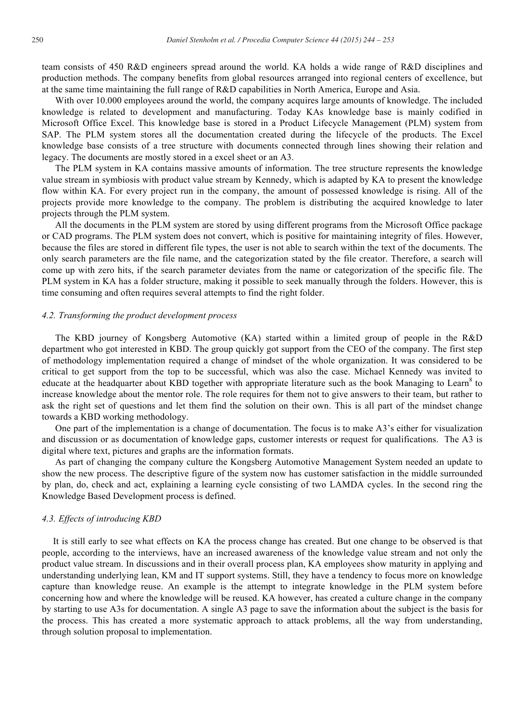team consists of 450 R&D engineers spread around the world. KA holds a wide range of R&D disciplines and production methods. The company benefits from global resources arranged into regional centers of excellence, but at the same time maintaining the full range of R&D capabilities in North America, Europe and Asia.

With over 10.000 employees around the world, the company acquires large amounts of knowledge. The included knowledge is related to development and manufacturing. Today KAs knowledge base is mainly codified in Microsoft Office Excel. This knowledge base is stored in a Product Lifecycle Management (PLM) system from SAP. The PLM system stores all the documentation created during the lifecycle of the products. The Excel knowledge base consists of a tree structure with documents connected through lines showing their relation and legacy. The documents are mostly stored in a excel sheet or an A3.

The PLM system in KA contains massive amounts of information. The tree structure represents the knowledge value stream in symbiosis with product value stream by Kennedy, which is adapted by KA to present the knowledge flow within KA. For every project run in the company, the amount of possessed knowledge is rising. All of the projects provide more knowledge to the company. The problem is distributing the acquired knowledge to later projects through the PLM system.

All the documents in the PLM system are stored by using different programs from the Microsoft Office package or CAD programs. The PLM system does not convert, which is positive for maintaining integrity of files. However, because the files are stored in different file types, the user is not able to search within the text of the documents. The only search parameters are the file name, and the categorization stated by the file creator. Therefore, a search will come up with zero hits, if the search parameter deviates from the name or categorization of the specific file. The PLM system in KA has a folder structure, making it possible to seek manually through the folders. However, this is time consuming and often requires several attempts to find the right folder.

#### *4.2. Transforming the product development process*

The KBD journey of Kongsberg Automotive (KA) started within a limited group of people in the R&D department who got interested in KBD. The group quickly got support from the CEO of the company. The first step of methodology implementation required a change of mindset of the whole organization. It was considered to be critical to get support from the top to be successful, which was also the case. Michael Kennedy was invited to educate at the headquarter about KBD together with appropriate literature such as the book Managing to Learn<sup>8</sup> to increase knowledge about the mentor role. The role requires for them not to give answers to their team, but rather to ask the right set of questions and let them find the solution on their own. This is all part of the mindset change towards a KBD working methodology.

One part of the implementation is a change of documentation. The focus is to make A3's either for visualization and discussion or as documentation of knowledge gaps, customer interests or request for qualifications. The A3 is digital where text, pictures and graphs are the information formats.

As part of changing the company culture the Kongsberg Automotive Management System needed an update to show the new process. The descriptive figure of the system now has customer satisfaction in the middle surrounded by plan, do, check and act, explaining a learning cycle consisting of two LAMDA cycles. In the second ring the Knowledge Based Development process is defined.

#### *4.3. Effects of introducing KBD*

It is still early to see what effects on KA the process change has created. But one change to be observed is that people, according to the interviews, have an increased awareness of the knowledge value stream and not only the product value stream. In discussions and in their overall process plan, KA employees show maturity in applying and understanding underlying lean, KM and IT support systems. Still, they have a tendency to focus more on knowledge capture than knowledge reuse. An example is the attempt to integrate knowledge in the PLM system before concerning how and where the knowledge will be reused. KA however, has created a culture change in the company by starting to use A3s for documentation. A single A3 page to save the information about the subject is the basis for the process. This has created a more systematic approach to attack problems, all the way from understanding, through solution proposal to implementation.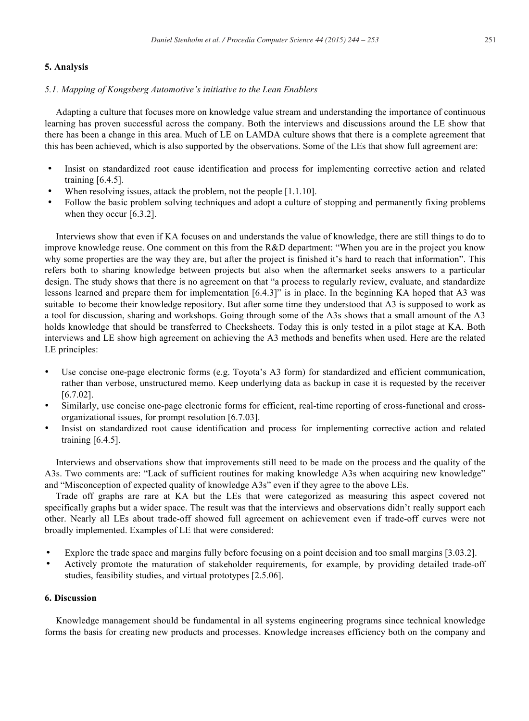### **5. Analysis**

### *5.1. Mapping of Kongsberg Automotive's initiative to the Lean Enablers*

Adapting a culture that focuses more on knowledge value stream and understanding the importance of continuous learning has proven successful across the company. Both the interviews and discussions around the LE show that there has been a change in this area. Much of LE on LAMDA culture shows that there is a complete agreement that this has been achieved, which is also supported by the observations. Some of the LEs that show full agreement are:

- Insist on standardized root cause identification and process for implementing corrective action and related training [6.4.5].
- When resolving issues, attack the problem, not the people [1.1.10].
- Follow the basic problem solving techniques and adopt a culture of stopping and permanently fixing problems when they occur [6.3.2].

Interviews show that even if KA focuses on and understands the value of knowledge, there are still things to do to improve knowledge reuse. One comment on this from the R&D department: "When you are in the project you know why some properties are the way they are, but after the project is finished it's hard to reach that information". This refers both to sharing knowledge between projects but also when the aftermarket seeks answers to a particular design. The study shows that there is no agreement on that "a process to regularly review, evaluate, and standardize lessons learned and prepare them for implementation [6.4.3]" is in place. In the beginning KA hoped that A3 was suitable to become their knowledge repository. But after some time they understood that A3 is supposed to work as a tool for discussion, sharing and workshops. Going through some of the A3s shows that a small amount of the A3 holds knowledge that should be transferred to Checksheets. Today this is only tested in a pilot stage at KA. Both interviews and LE show high agreement on achieving the A3 methods and benefits when used. Here are the related LE principles:

- Use concise one-page electronic forms (e.g. Toyota's A3 form) for standardized and efficient communication, rather than verbose, unstructured memo. Keep underlying data as backup in case it is requested by the receiver [6.7.02].
- Similarly, use concise one-page electronic forms for efficient, real-time reporting of cross-functional and crossorganizational issues, for prompt resolution [6.7.03].
- Insist on standardized root cause identification and process for implementing corrective action and related training [6.4.5].

Interviews and observations show that improvements still need to be made on the process and the quality of the A3s. Two comments are: "Lack of sufficient routines for making knowledge A3s when acquiring new knowledge" and "Misconception of expected quality of knowledge A3s" even if they agree to the above LEs.

Trade off graphs are rare at KA but the LEs that were categorized as measuring this aspect covered not specifically graphs but a wider space. The result was that the interviews and observations didn't really support each other. Nearly all LEs about trade-off showed full agreement on achievement even if trade-off curves were not broadly implemented. Examples of LE that were considered:

- Explore the trade space and margins fully before focusing on a point decision and too small margins [3.03.2].
- Actively promote the maturation of stakeholder requirements, for example, by providing detailed trade-off studies, feasibility studies, and virtual prototypes [2.5.06].

## **6. Discussion**

Knowledge management should be fundamental in all systems engineering programs since technical knowledge forms the basis for creating new products and processes. Knowledge increases efficiency both on the company and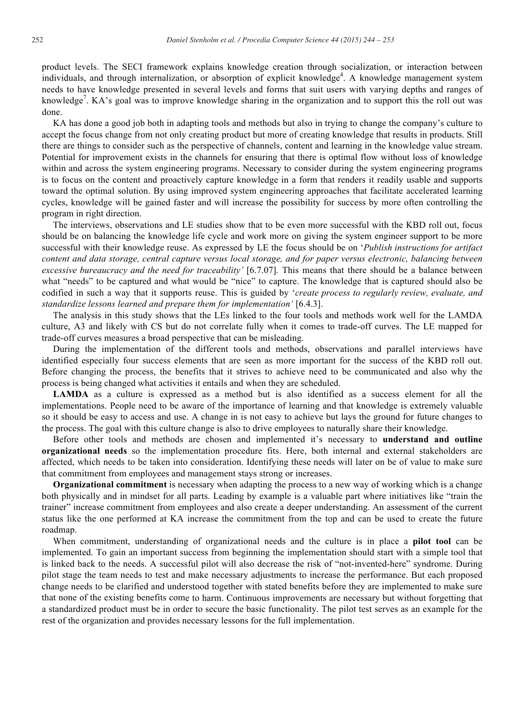product levels. The SECI framework explains knowledge creation through socialization, or interaction between individuals, and through internalization, or absorption of explicit knowledge<sup>4</sup>. A knowledge management system needs to have knowledge presented in several levels and forms that suit users with varying depths and ranges of knowledge<sup>7</sup>. KA's goal was to improve knowledge sharing in the organization and to support this the roll out was done.

KA has done a good job both in adapting tools and methods but also in trying to change the company's culture to accept the focus change from not only creating product but more of creating knowledge that results in products. Still there are things to consider such as the perspective of channels, content and learning in the knowledge value stream. Potential for improvement exists in the channels for ensuring that there is optimal flow without loss of knowledge within and across the system engineering programs. Necessary to consider during the system engineering programs is to focus on the content and proactively capture knowledge in a form that renders it readily usable and supports toward the optimal solution. By using improved system engineering approaches that facilitate accelerated learning cycles, knowledge will be gained faster and will increase the possibility for success by more often controlling the program in right direction.

The interviews, observations and LE studies show that to be even more successful with the KBD roll out, focus should be on balancing the knowledge life cycle and work more on giving the system engineer support to be more successful with their knowledge reuse. As expressed by LE the focus should be on '*Publish instructions for artifact content and data storage, central capture versus local storage, and for paper versus electronic, balancing between excessive bureaucracy and the need for traceability'* [6.7.07]. This means that there should be a balance between what "needs" to be captured and what would be "nice" to capture. The knowledge that is captured should also be codified in such a way that it supports reuse. This is guided by '*create process to regularly review, evaluate, and standardize lessons learned and prepare them for implementation'* [6.4.3].

The analysis in this study shows that the LEs linked to the four tools and methods work well for the LAMDA culture, A3 and likely with CS but do not correlate fully when it comes to trade-off curves. The LE mapped for trade-off curves measures a broad perspective that can be misleading.

During the implementation of the different tools and methods, observations and parallel interviews have identified especially four success elements that are seen as more important for the success of the KBD roll out. Before changing the process, the benefits that it strives to achieve need to be communicated and also why the process is being changed what activities it entails and when they are scheduled.

**LAMDA** as a culture is expressed as a method but is also identified as a success element for all the implementations. People need to be aware of the importance of learning and that knowledge is extremely valuable so it should be easy to access and use. A change in is not easy to achieve but lays the ground for future changes to the process. The goal with this culture change is also to drive employees to naturally share their knowledge.

Before other tools and methods are chosen and implemented it's necessary to **understand and outline organizational needs** so the implementation procedure fits. Here, both internal and external stakeholders are affected, which needs to be taken into consideration. Identifying these needs will later on be of value to make sure that commitment from employees and management stays strong or increases.

**Organizational commitment** is necessary when adapting the process to a new way of working which is a change both physically and in mindset for all parts. Leading by example is a valuable part where initiatives like "train the trainer" increase commitment from employees and also create a deeper understanding. An assessment of the current status like the one performed at KA increase the commitment from the top and can be used to create the future roadmap.

When commitment, understanding of organizational needs and the culture is in place a **pilot tool** can be implemented. To gain an important success from beginning the implementation should start with a simple tool that is linked back to the needs. A successful pilot will also decrease the risk of "not-invented-here" syndrome. During pilot stage the team needs to test and make necessary adjustments to increase the performance. But each proposed change needs to be clarified and understood together with stated benefits before they are implemented to make sure that none of the existing benefits come to harm. Continuous improvements are necessary but without forgetting that a standardized product must be in order to secure the basic functionality. The pilot test serves as an example for the rest of the organization and provides necessary lessons for the full implementation.